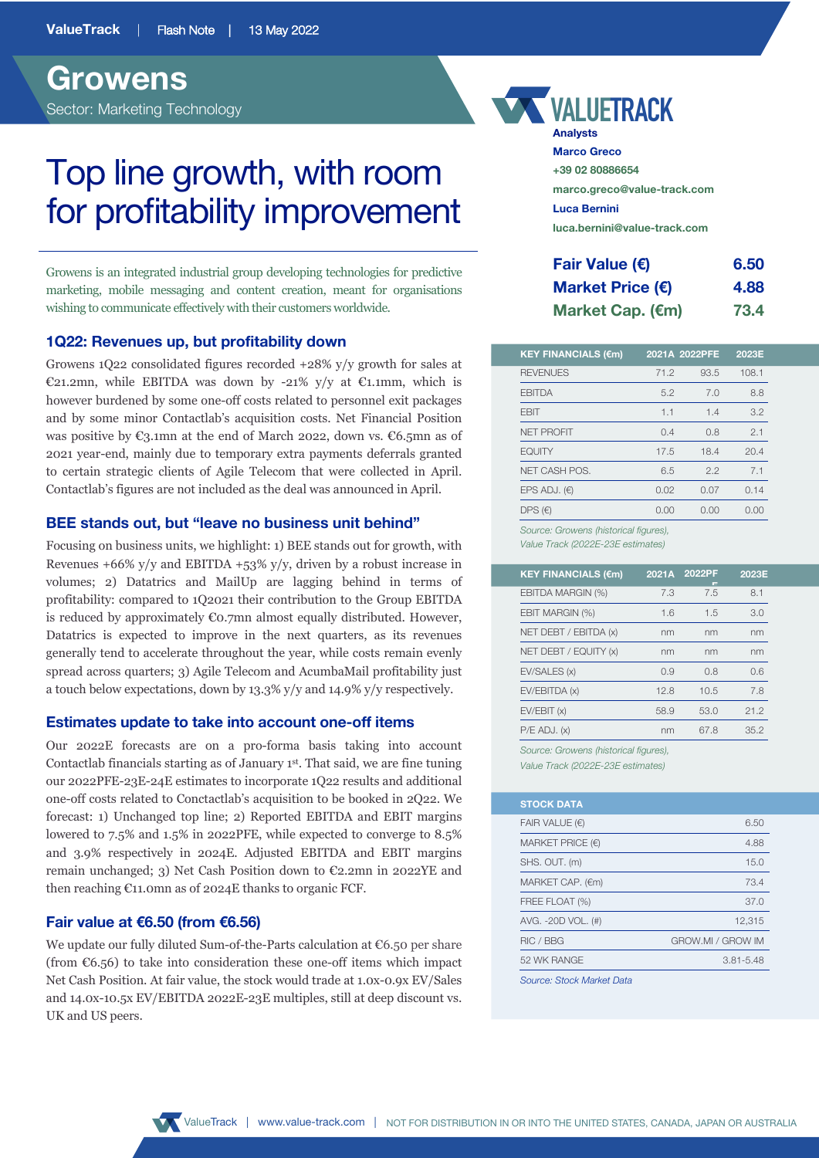# **Growens** Sector: Marketing Technology

# Top line growth, with room for profitability improvement

Growens is an integrated industrial group developing technologies for predictive marketing, mobile messaging and content creation, meant for organisations wishing to communicate effectively with their customers worldwide.

# **1Q22: Revenues up, but profitability down**

Growens 1Q22 consolidated figures recorded +28% y/y growth for sales at €21.2mn, while EBITDA was down by -21% y/y at €1.1mm, which is however burdened by some one-off costs related to personnel exit packages and by some minor Contactlab's acquisition costs. Net Financial Position was positive by  $\mathfrak{C}_3$ , 1mn at the end of March 2022, down vs.  $\mathfrak{C}_5$ , 5mn as of 2021 year-end, mainly due to temporary extra payments deferrals granted to certain strategic clients of Agile Telecom that were collected in April. Contactlab's figures are not included as the deal was announced in April.

# **BEE stands out, but "leave no business unit behind"**

Focusing on business units, we highlight: 1) BEE stands out for growth, with Revenues  $+66\%$  y/y and EBITDA  $+53\%$  y/y, driven by a robust increase in volumes; 2) Datatrics and MailUp are lagging behind in terms of profitability: compared to 1Q2021 their contribution to the Group EBITDA is reduced by approximately  $\epsilon$ 0.7mn almost equally distributed. However, Datatrics is expected to improve in the next quarters, as its revenues generally tend to accelerate throughout the year, while costs remain evenly spread across quarters; 3) Agile Telecom and AcumbaMail profitability just a touch below expectations, down by 13.3% y/y and 14.9% y/y respectively.

#### **Estimates update to take into account one-off items**

Our 2022E forecasts are on a pro-forma basis taking into account Contactlab financials starting as of January 1st. That said, we are fine tuning our 2022PFE-23E-24E estimates to incorporate 1Q22 results and additional one-off costs related to Conctactlab's acquisition to be booked in 2Q22. We forecast: 1) Unchanged top line; 2) Reported EBITDA and EBIT margins lowered to 7.5% and 1.5% in 2022PFE, while expected to converge to 8.5% and 3.9% respectively in 2024E. Adjusted EBITDA and EBIT margins remain unchanged; 3) Net Cash Position down to  $\mathcal{C}2.2$ mn in 2022YE and then reaching €11.0mn as of 2024E thanks to organic FCF.

# **Fair value at €6.50 (from €6.56)**

We update our fully diluted Sum-of-the-Parts calculation at €6.50 per share (from  $\mathfrak{C}6.56$ ) to take into consideration these one-off items which impact Net Cash Position. At fair value, the stock would trade at 1.0x-0.9x EV/Sales and 14.0x-10.5x EV/EBITDA 2022E-23E multiples, still at deep discount vs. UK and US peers.



| <b>Analysts</b>              |
|------------------------------|
| <b>Marco Greco</b>           |
| +39 02 80886654              |
| marco.greco@value-track.com  |
| Luca Bernini                 |
| luca.bernini@value-track.com |
|                              |

| <b>Fair Value (€)</b>     | 6.50 |
|---------------------------|------|
| Market Price $(\epsilon)$ | 4.88 |
| Market Cap. (€m)          | 73.4 |

| 71.2<br>5.2<br>1.1<br>0.4 | 93.5<br>7.0<br>1.4<br>0.8 | 108.1<br>8.8<br>3.2<br>2.1 |
|---------------------------|---------------------------|----------------------------|
|                           |                           |                            |
|                           |                           |                            |
|                           |                           |                            |
|                           |                           |                            |
| 17.5                      | 18.4                      | 20.4                       |
| 6.5                       | 2.2                       | 7.1                        |
|                           | 0.07                      | 0.14                       |
|                           | 0.00                      | 0.00                       |
|                           | 0.02<br>0.00              |                            |

*Value Track (2022E-23E estimates)*

| 2021A | 2022PF | 2023E |
|-------|--------|-------|
| 7.3   | 7.5    | 8.1   |
| 1.6   | 1.5    | 3.0   |
| nm    | nm     | nm    |
| nm    | nm     | nm    |
| 0.9   | 0.8    | 0.6   |
| 12.8  | 10.5   | 7.8   |
| 58.9  | 53.0   | 21.2  |
| nm    | 67.8   | 35.2  |
|       |        |       |

*Source: Growens (historical figures),*

*Value Track (2022E-23E estimates)*

| 6.50              |
|-------------------|
| 4.88              |
| 15.0              |
| 73.4              |
| 37.0              |
| 12,315            |
| GROW.MI / GROW IM |
| $3.81 - 5.48$     |
|                   |

*Source: Stock Market Data*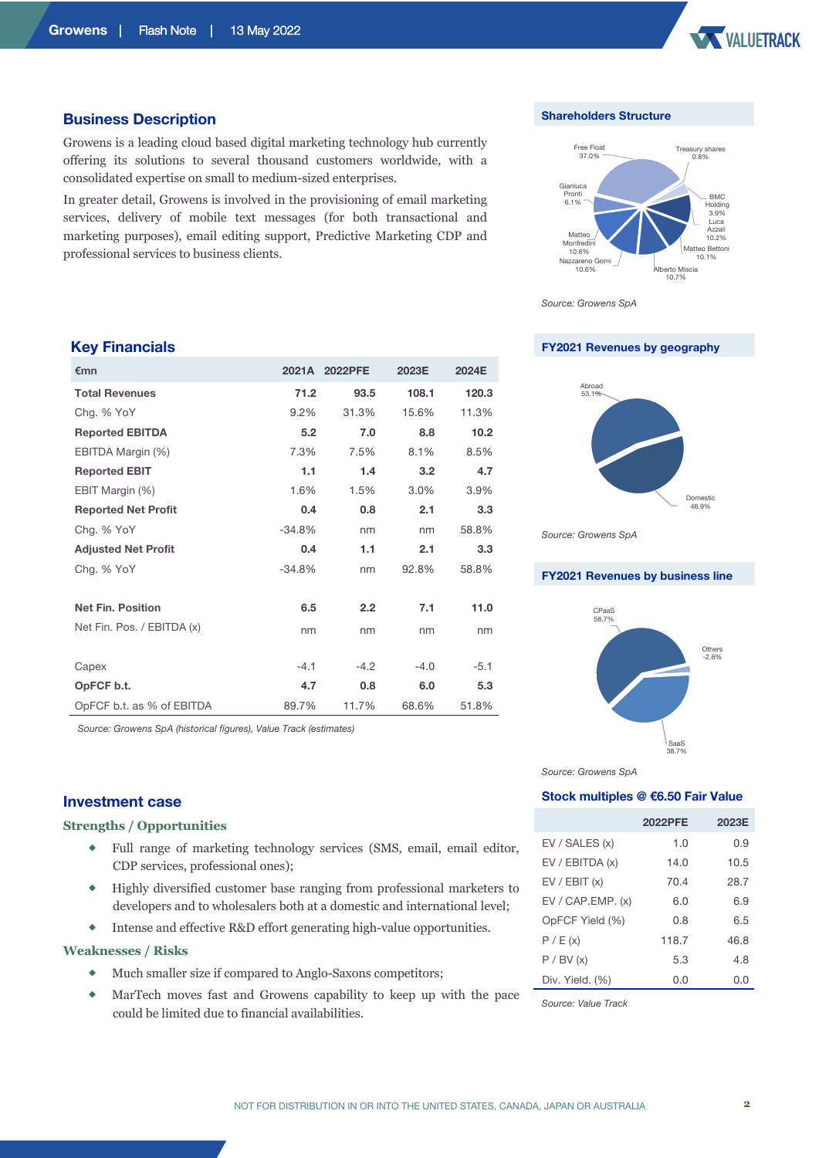

#### **Business Description**

Growens is a leading cloud based digital marketing technology hub currently offering its solutions to several thousand customers worldwide, with a consolidated expertise on small to medium-sized enterprises.

In greater detail, Growens is involved in the provisioning of email marketing services, delivery of mobile text messages (for both transactional and marketing purposes), email editing support, Predictive Marketing CDP and professional services to business clients.

#### **Shareholders Structure**



*Source: Growens SpA*

**FY2021 Revenues by geography**



*Source: Growens SpA*

#### **FY2021 Revenues by business line**



*Source: Growens SpA*

#### **Stock multiples @ €6.50 Fair Value**

|                    | <b>2022PFE</b> | 2023E |
|--------------------|----------------|-------|
| EV / SALES (x)     | 1.0            | 0.9   |
| EV / EBITDA (x)    | 14.0           | 10.5  |
| EV / EBIT (x)      | 70.4           | 28.7  |
| EV / CAP. EMP. (x) | 6.0            | 6.9   |
| OpFCF Yield (%)    | 0.8            | 6.5   |
| P / E(x)           | 118.7          | 46.8  |
| P / BV (x)         | 5.3            | 4.8   |
| Div. Yield. (%)    | n n            | n n   |

# **Key Financials**

| €mn                        |          | 2021A 2022PFE | 2023E   | 2024E  |
|----------------------------|----------|---------------|---------|--------|
| <b>Total Revenues</b>      | 71.2     | 93.5          | 108.1   | 120.3  |
| Chg. % YoY                 | 9.2%     | 31.3%         | 15.6%   | 11.3%  |
| <b>Reported EBITDA</b>     | 5.2      | 7.0           | 8.8     | 10.2   |
| EBITDA Margin (%)          | 7.3%     | 7.5%          | 8.1%    | 8.5%   |
| <b>Reported EBIT</b>       | 1.1      | 1.4           | 3.2     | 4.7    |
| EBIT Margin (%)            | 1.6%     | 1.5%          | $3.0\%$ | 3.9%   |
| <b>Reported Net Profit</b> | 0.4      | 0.8           | 2.1     | 3.3    |
| Chg. % YoY                 | $-34.8%$ | nm            | nm      | 58.8%  |
| <b>Adjusted Net Profit</b> | 0.4      | 1.1           | 2.1     | 3.3    |
| Chg. % YoY                 | $-34.8%$ | nm            | 92.8%   | 58.8%  |
|                            |          |               |         |        |
| <b>Net Fin. Position</b>   | 6.5      | 2.2           | 7.1     | 11.0   |
| Net Fin. Pos. / EBITDA (x) | nm       | nm            | nm      | nm     |
|                            |          |               |         |        |
| Capex                      | $-4.1$   | $-4.2$        | $-4.0$  | $-5.1$ |
| OpFCF b.t.                 | 4.7      | 0.8           | 6.0     | 5.3    |
| OpFCF b.t. as % of EBITDA  | 89.7%    | 11.7%         | 68.6%   | 51.8%  |

*Source: Growens SpA (historical figures), Value Track (estimates)*

# **Investment case**

#### **Strengths / Opportunities**

- Full range of marketing technology services (SMS, email, email editor, CDP services, professional ones);
- ® Highly diversified customer base ranging from professional marketers to developers and to wholesalers both at a domestic and international level;
- ® Intense and effective R&D effort generating high-value opportunities.

#### **Weaknesses / Risks**

- ® Much smaller size if compared to Anglo-Saxons competitors;
- ® MarTech moves fast and Growens capability to keep up with the pace could be limited due to financial availabilities.

*Source: Value Track*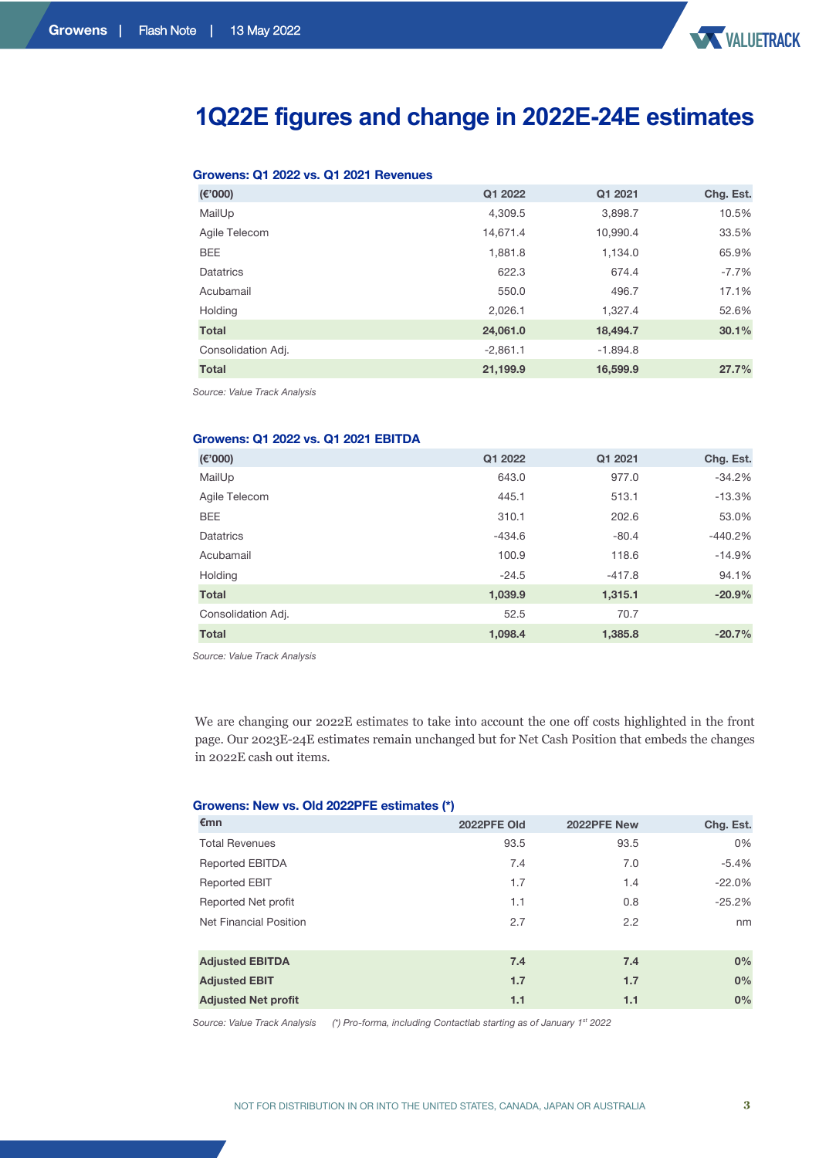

# **1Q22E figures and change in 2022E-24E estimates**

# **Growens: Q1 2022 vs. Q1 2021 Revenues**

| (E'000)            | Q1 2022    | Q1 2021    | Chg. Est. |
|--------------------|------------|------------|-----------|
| MailUp             | 4,309.5    | 3,898.7    | 10.5%     |
| Agile Telecom      | 14,671.4   | 10,990.4   | 33.5%     |
| <b>BEE</b>         | 1,881.8    | 1,134.0    | 65.9%     |
| Datatrics          | 622.3      | 674.4      | $-7.7%$   |
| Acubamail          | 550.0      | 496.7      | 17.1%     |
| Holding            | 2,026.1    | 1.327.4    | 52.6%     |
| <b>Total</b>       | 24,061.0   | 18,494.7   | 30.1%     |
| Consolidation Adj. | $-2,861.1$ | $-1.894.8$ |           |
| <b>Total</b>       | 21,199.9   | 16,599.9   | 27.7%     |

*Source: Value Track Analysis*

#### **Growens: Q1 2022 vs. Q1 2021 EBITDA**

| (E'000)            | Q1 2022  | Q1 2021  | Chg. Est. |
|--------------------|----------|----------|-----------|
| MailUp             | 643.0    | 977.0    | $-34.2%$  |
| Agile Telecom      | 445.1    | 513.1    | $-13.3%$  |
| <b>BEE</b>         | 310.1    | 202.6    | 53.0%     |
| <b>Datatrics</b>   | $-434.6$ | $-80.4$  | $-440.2%$ |
| Acubamail          | 100.9    | 118.6    | $-14.9%$  |
| Holding            | $-24.5$  | $-417.8$ | 94.1%     |
| <b>Total</b>       | 1,039.9  | 1,315.1  | $-20.9%$  |
| Consolidation Adj. | 52.5     | 70.7     |           |
| <b>Total</b>       | 1,098.4  | 1,385.8  | $-20.7%$  |

*Source: Value Track Analysis*

We are changing our 2022E estimates to take into account the one off costs highlighted in the front page. Our 2023E-24E estimates remain unchanged but for Net Cash Position that embeds the changes in 2022E cash out items.

#### **Growens: New vs. Old 2022PFE estimates (\*)**

| €mn                        | 2022PFE Old | 2022PFE New | Chg. Est. |
|----------------------------|-------------|-------------|-----------|
| <b>Total Revenues</b>      | 93.5        | 93.5        | 0%        |
| <b>Reported EBITDA</b>     | 7.4         | 7.0         | $-5.4%$   |
| <b>Reported EBIT</b>       | 1.7         | 1.4         | $-22.0%$  |
| Reported Net profit        | 1.1         | 0.8         | $-25.2%$  |
| Net Financial Position     | 2.7         | 2.2         | nm        |
|                            |             |             |           |
| <b>Adjusted EBITDA</b>     | 7.4         | 7.4         | 0%        |
| <b>Adjusted EBIT</b>       | 1.7         | 1.7         | 0%        |
| <b>Adjusted Net profit</b> | 1.1         | 1.1         | 0%        |

*Source: Value Track Analysis (\*) Pro-forma, including Contactlab starting as of January 1st 2022*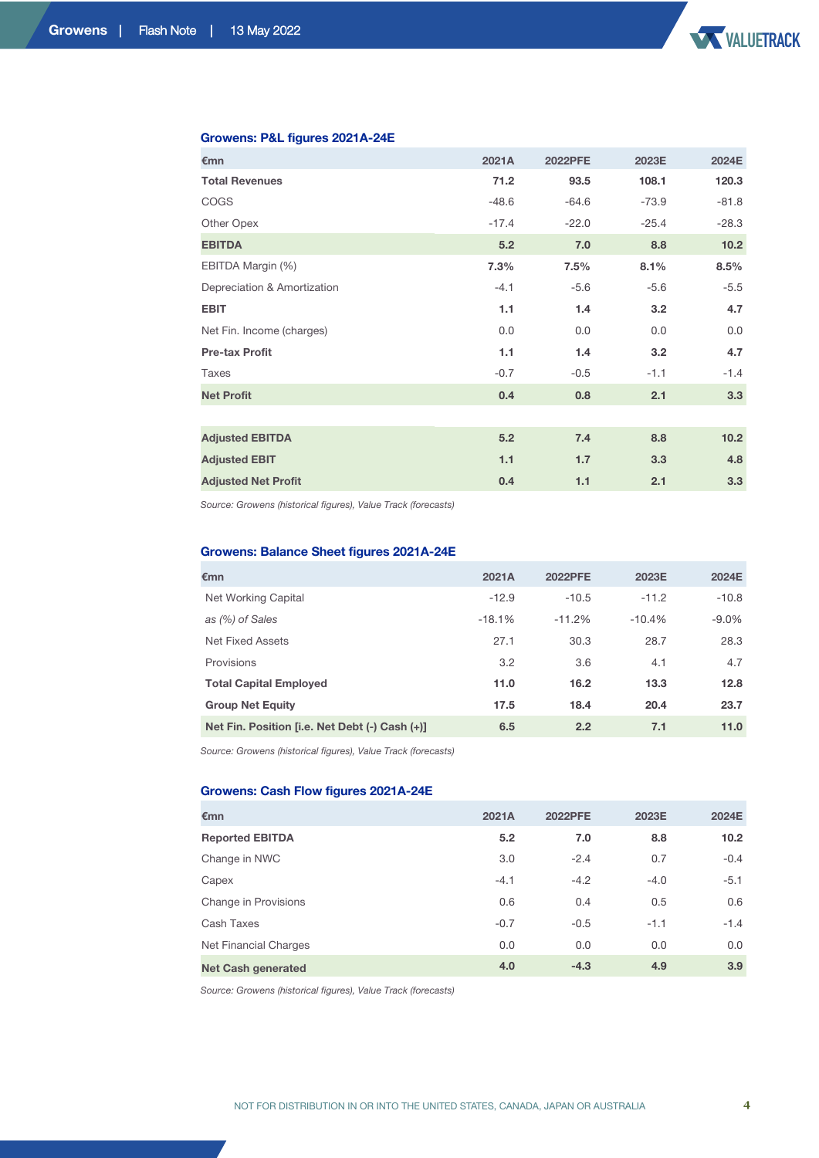

### **Growens: P&L figures 2021A-24E**

| €mn                         | 2021A   | <b>2022PFE</b> | 2023E   | 2024E   |
|-----------------------------|---------|----------------|---------|---------|
| <b>Total Revenues</b>       | 71.2    | 93.5           | 108.1   | 120.3   |
| <b>COGS</b>                 | $-48.6$ | $-64.6$        | $-73.9$ | $-81.8$ |
| Other Opex                  | $-17.4$ | $-22.0$        | $-25.4$ | $-28.3$ |
| <b>EBITDA</b>               | 5.2     | 7.0            | 8.8     | 10.2    |
| EBITDA Margin (%)           | 7.3%    | 7.5%           | 8.1%    | 8.5%    |
| Depreciation & Amortization | $-4.1$  | $-5.6$         | $-5.6$  | $-5.5$  |
| <b>EBIT</b>                 | 1.1     | 1.4            | 3.2     | 4.7     |
| Net Fin. Income (charges)   | 0.0     | 0.0            | 0.0     | 0.0     |
| <b>Pre-tax Profit</b>       | 1.1     | 1.4            | 3.2     | 4.7     |
| Taxes                       | $-0.7$  | $-0.5$         | $-1.1$  | $-1.4$  |
| <b>Net Profit</b>           | 0.4     | 0.8            | 2.1     | 3.3     |
|                             |         |                |         |         |
| <b>Adjusted EBITDA</b>      | 5.2     | 7.4            | 8.8     | 10.2    |
| <b>Adjusted EBIT</b>        | 1.1     | 1.7            | 3.3     | 4.8     |
| <b>Adjusted Net Profit</b>  | 0.4     | 1.1            | 2.1     | 3.3     |

*Source: Growens (historical figures), Value Track (forecasts)*

# **Growens: Balance Sheet figures 2021A-24E**

| €mn                                            | 2021A    | <b>2022PFE</b> | 2023E    | 2024E    |
|------------------------------------------------|----------|----------------|----------|----------|
| Net Working Capital                            | $-12.9$  | $-10.5$        | $-11.2$  | $-10.8$  |
| as (%) of Sales                                | $-18.1%$ | $-11.2%$       | $-10.4%$ | $-9.0\%$ |
| Net Fixed Assets                               | 27.1     | 30.3           | 28.7     | 28.3     |
| Provisions                                     | 3.2      | 3.6            | 4.1      | 4.7      |
| <b>Total Capital Employed</b>                  | 11.0     | 16.2           | 13.3     | 12.8     |
| <b>Group Net Equity</b>                        | 17.5     | 18.4           | 20.4     | 23.7     |
| Net Fin. Position [i.e. Net Debt (-) Cash (+)] | 6.5      | 2.2            | 7.1      | 11.0     |

*Source: Growens (historical figures), Value Track (forecasts)*

## **Growens: Cash Flow figures 2021A-24E**

| €mn                       | 2021A  | <b>2022PFE</b> | 2023E  | 2024E             |
|---------------------------|--------|----------------|--------|-------------------|
| <b>Reported EBITDA</b>    | 5.2    | 7.0            | 8.8    | 10.2 <sub>1</sub> |
| Change in NWC             | 3.0    | $-2.4$         | 0.7    | $-0.4$            |
| Capex                     | $-4.1$ | $-4.2$         | $-4.0$ | $-5.1$            |
| Change in Provisions      | 0.6    | 0.4            | 0.5    | 0.6               |
| Cash Taxes                | $-0.7$ | $-0.5$         | $-1.1$ | $-1.4$            |
| Net Financial Charges     | 0.0    | 0.0            | 0.0    | 0.0               |
| <b>Net Cash generated</b> | 4.0    | $-4.3$         | 4.9    | 3.9               |

*Source: Growens (historical figures), Value Track (forecasts)*